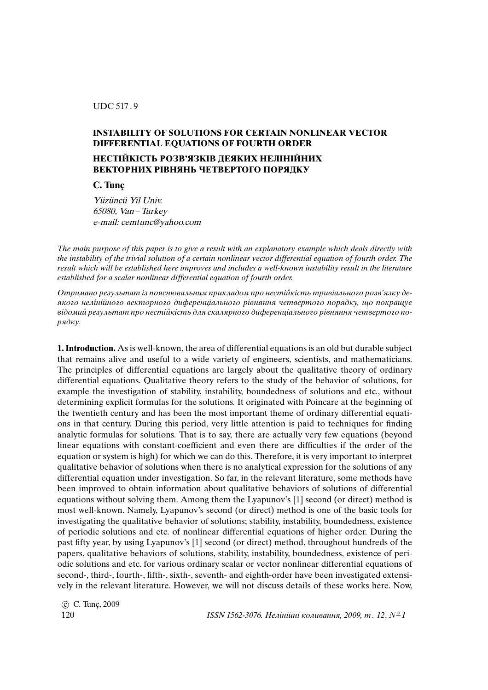## UDC 517 . 9

## **INSTABILITY OF SOLUTIONS FOR CERTAIN NONLINEAR VECTOR DIFFERENTIAL EQUATIONS OF FOURTH ORDER**

## **НЕСТIЙКIСТЬ РОЗВ'ЯЗКIВ ДЕЯКИХ НЕЛIНIЙНИХ ВЕКТОРНИХ РIВНЯНЬ ЧЕТВЕРТОГО ПОРЯДКУ**

**C. Tunc¸**

Yüzüncü Yil Univ. 65080, Van –Turkey e-mail: cemtunc@yahoo.com

The main purpose of this paper is to give a result with an explanatory example which deals directly with the instability of the trivial solution of a certain nonlinear vector differential equation of fourth order. The result which will be established here improves and includes a well-known instability result in the literature established for a scalar nonlinear differential equation of fourth order.

Отримано результат iз пояснювальним прикладом про нестiйкiсть тривiального розв'язку деякого нелiнiйного векторного диференцiального рiвняння четвертого порядку, що покращує вiдомий результат про нестiйкiсть для скалярного диференцiального рiвняння четвертого порядку.

**1. Introduction.** As is well-known, the area of differential equations is an old but durable subject that remains alive and useful to a wide variety of engineers, scientists, and mathematicians. The principles of differential equations are largely about the qualitative theory of ordinary differential equations. Qualitative theory refers to the study of the behavior of solutions, for example the investigation of stability, instability, boundedness of solutions and etc., without determining explicit formulas for the solutions. It originated with Poincare at the beginning of the twentieth century and has been the most important theme of ordinary differential equations in that century. During this period, very little attention is paid to techniques for finding analytic formulas for solutions. That is to say, there are actually very few equations (beyond linear equations with constant-coefficient and even there are difficulties if the order of the equation or system is high) for which we can do this. Therefore, it is very important to interpret qualitative behavior of solutions when there is no analytical expression for the solutions of any differential equation under investigation. So far, in the relevant literature, some methods have been improved to obtain information about qualitative behaviors of solutions of differential equations without solving them. Among them the Lyapunov's [1] second (or direct) method is most well-known. Namely, Lyapunov's second (or direct) method is one of the basic tools for investigating the qualitative behavior of solutions; stability, instability, boundedness, existence of periodic solutions and etc. of nonlinear differential equations of higher order. During the past fifty year, by using Lyapunov's [1] second (or direct) method, throughout hundreds of the papers, qualitative behaviors of solutions, stability, instability, boundedness, existence of periodic solutions and etc. for various ordinary scalar or vector nonlinear differential equations of second-, third-, fourth-, fifth-, sixth-, seventh- and eighth-order have been investigated extensively in the relevant literature. However, we will not discuss details of these works here. Now,

c C. Tunc,¸ 2009

 $120$   $155N1562-3076$ . Нелінійні коливання, 2009, т. 12,  $N^{\circ}1$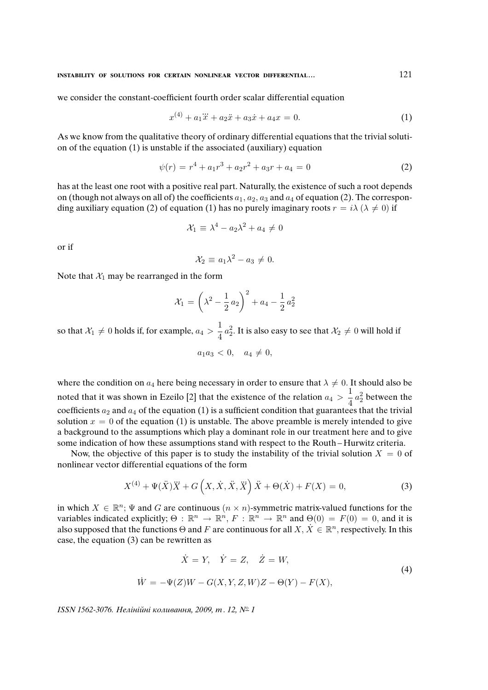we consider the constant-coefficient fourth order scalar differential equation

$$
x^{(4)} + a_1 \ddot{x} + a_2 \ddot{x} + a_3 \dot{x} + a_4 x = 0.
$$
 (1)

As we know from the qualitative theory of ordinary differential equations that the trivial solution of the equation (1) is unstable if the associated (auxiliary) equation

$$
\psi(r) = r^4 + a_1 r^3 + a_2 r^2 + a_3 r + a_4 = 0 \tag{2}
$$

has at the least one root with a positive real part. Naturally, the existence of such a root depends on (though not always on all of) the coefficients  $a_1, a_2, a_3$  and  $a_4$  of equation (2). The corresponding auxiliary equation (2) of equation (1) has no purely imaginary roots  $r = i\lambda$  ( $\lambda \neq 0$ ) if

$$
\mathcal{X}_1 \equiv \lambda^4 - a_2 \lambda^2 + a_4 \neq 0
$$

or if

$$
\mathcal{X}_2 \equiv a_1 \lambda^2 - a_3 \neq 0.
$$

Note that  $X_1$  may be rearranged in the form

$$
\mathcal{X}_1 = \left(\lambda^2 - \frac{1}{2}a_2\right)^2 + a_4 - \frac{1}{2}a_2^2
$$

so that  $\mathcal{X}_1 \neq 0$  holds if, for example,  $a_4 > \frac{1}{4}$  $\frac{1}{4}a_2^2$ . It is also easy to see that  $\mathcal{X}_2\neq 0$  will hold if

$$
a_1 a_3 < 0, \quad a_4 \neq 0,
$$

where the condition on  $a_4$  here being necessary in order to ensure that  $\lambda \neq 0$ . It should also be noted that it was shown in Ezeilo [2] that the existence of the relation  $a_4 > \frac{1}{4}$  $\frac{1}{4}a_2^2$  between the coefficients  $a_2$  and  $a_4$  of the equation (1) is a sufficient condition that guarantees that the trivial solution  $x = 0$  of the equation (1) is unstable. The above preamble is merely intended to give a background to the assumptions which play a dominant role in our treatment here and to give some indication of how these assumptions stand with respect to the Routh – Hurwitz criteria.

Now, the objective of this paper is to study the instability of the trivial solution  $X = 0$  of nonlinear vector differential equations of the form

$$
X^{(4)} + \Psi(\ddot{X})\ddot{X} + G\left(X, \dot{X}, \ddot{X}, \ddot{X}\right)\ddot{X} + \Theta(\dot{X}) + F(X) = 0,
$$
\n(3)

in which  $X \in \mathbb{R}^n$ ;  $\Psi$  and G are continuous  $(n \times n)$ -symmetric matrix-valued functions for the variables indicated explicitly;  $\Theta : \mathbb{R}^n \to \mathbb{R}^n$ ,  $F : \mathbb{R}^n \to \mathbb{R}^n$  and  $\Theta(0) = F(0) = 0$ , and it is also supposed that the functions  $\Theta$  and F are continuous for all  $X, \dot{X} \in \mathbb{R}^n$ , respectively. In this case, the equation (3) can be rewritten as

$$
\dot{X} = Y, \quad \dot{Y} = Z, \quad \dot{Z} = W,
$$
  
\n
$$
\dot{W} = -\Psi(Z)W - G(X, Y, Z, W)Z - \Theta(Y) - F(X),
$$
\n(4)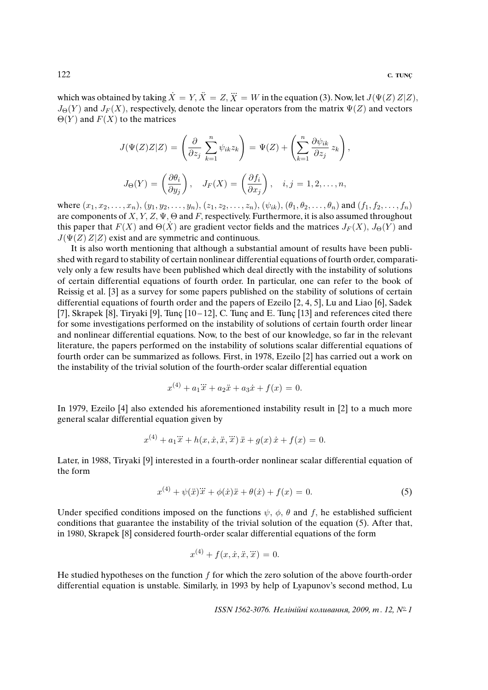which was obtained by taking  $\dot{X} = Y, \ddot{X} = Z, \dddot{X} = W$  in the equation (3). Now, let  $J(\Psi(Z) Z | Z)$ ,  $J_{\Theta}(Y)$  and  $J_{F}(X)$ , respectively, denote the linear operators from the matrix  $\Psi(Z)$  and vectors  $\Theta(Y)$  and  $F(X)$  to the matrices

$$
J(\Psi(Z)Z|Z) = \left(\frac{\partial}{\partial z_j} \sum_{k=1}^n \psi_{ik} z_k\right) = \Psi(Z) + \left(\sum_{k=1}^n \frac{\partial \psi_{ik}}{\partial z_j} z_k\right),
$$
  

$$
J_{\Theta}(Y) = \left(\frac{\partial \theta_i}{\partial y_j}\right), \quad J_F(X) = \left(\frac{\partial f_i}{\partial x_j}\right), \quad i, j = 1, 2, ..., n,
$$

where  $(x_1, x_2, \ldots, x_n)$ ,  $(y_1, y_2, \ldots, y_n)$ ,  $(z_1, z_2, \ldots, z_n)$ ,  $(\psi_{ik})$ ,  $(\theta_1, \theta_2, \ldots, \theta_n)$  and  $(f_1, f_2, \ldots, f_n)$ are components of  $X, Y, Z, \Psi, \Theta$  and F, respectively. Furthermore, it is also assumed throughout this paper that  $F(X)$  and  $\Theta(\dot{X})$  are gradient vector fields and the matrices  $J_F(X)$ ,  $J_{\Theta}(Y)$  and  $J(\Psi(Z) Z|Z)$  exist and are symmetric and continuous.

It is also worth mentioning that although a substantial amount of results have been published with regard to stability of certain nonlinear differential equations of fourth order, comparatively only a few results have been published which deal directly with the instability of solutions of certain differential equations of fourth order. In particular, one can refer to the book of Reissig et al. [3] as a survey for some papers published on the stability of solutions of certain differential equations of fourth order and the papers of Ezeilo [2, 4, 5], Lu and Liao [6], Sadek [7], Skrapek [8], Tiryaki [9], Tunç  $[10-12]$ , C. Tunç and E. Tunc [13] and references cited there for some investigations performed on the instability of solutions of certain fourth order linear and nonlinear differential equations. Now, to the best of our knowledge, so far in the relevant literature, the papers performed on the instability of solutions scalar differential equations of fourth order can be summarized as follows. First, in 1978, Ezeilo [2] has carried out a work on the instability of the trivial solution of the fourth-order scalar differential equation

$$
x^{(4)} + a_1\ddot{x} + a_2\ddot{x} + a_3\dot{x} + f(x) = 0.
$$

In 1979, Ezeilo [4] also extended his aforementioned instability result in [2] to a much more general scalar differential equation given by

$$
x^{(4)} + a_1 \ddot{x} + h(x, \dot{x}, \ddot{x}, \ddot{x}) \ddot{x} + g(x) \dot{x} + f(x) = 0.
$$

Later, in 1988, Tiryaki [9] interested in a fourth-order nonlinear scalar differential equation of the form

$$
x^{(4)} + \psi(\ddot{x})\ddot{x} + \phi(\dot{x})\ddot{x} + \theta(\dot{x}) + f(x) = 0.
$$
 (5)

Under specified conditions imposed on the functions  $\psi$ ,  $\phi$ ,  $\theta$  and f, he established sufficient conditions that guarantee the instability of the trivial solution of the equation (5). After that, in 1980, Skrapek [8] considered fourth-order scalar differential equations of the form

$$
x^{(4)} + f(x, \dot{x}, \ddot{x}, \dddot{x}) = 0.
$$

He studied hypotheses on the function  $f$  for which the zero solution of the above fourth-order differential equation is unstable. Similarly, in 1993 by help of Lyapunov's second method, Lu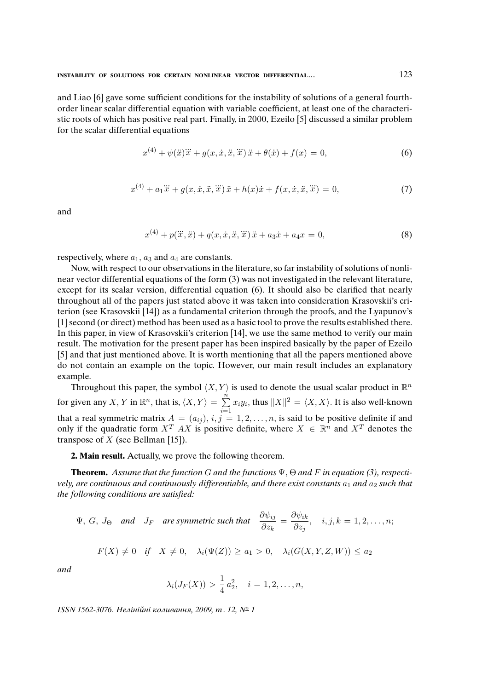and Liao [6] gave some sufficient conditions for the instability of solutions of a general fourthorder linear scalar differential equation with variable coefficient, at least one of the characteristic roots of which has positive real part. Finally, in 2000, Ezeilo [5] discussed a similar problem for the scalar differential equations

$$
x^{(4)} + \psi(\ddot{x})\dddot{x} + g(x, \dot{x}, \ddot{x}, \dddot{x})\ddot{x} + \theta(\dot{x}) + f(x) = 0,
$$
\n(6)

$$
x^{(4)} + a_1 \ddot{x} + g(x, \dot{x}, \ddot{x}, \dddot{x}) \ddot{x} + h(x)\dot{x} + f(x, \dot{x}, \ddot{x}, \dddot{x}) = 0,
$$
 (7)

and

$$
x^{(4)} + p(\ddot{x}, \ddot{x}) + q(x, \dot{x}, \ddot{x}, \dddot{x})\ddot{x} + a_3\dot{x} + a_4x = 0,
$$
\n(8)

respectively, where  $a_1$ ,  $a_3$  and  $a_4$  are constants.

Now, with respect to our observations in the literature, so far instability of solutions of nonlinear vector differential equations of the form (3) was not investigated in the relevant literature, except for its scalar version, differential equation (6). It should also be clarified that nearly throughout all of the papers just stated above it was taken into consideration Krasovskii's criterion (see Krasovskii [14]) as a fundamental criterion through the proofs, and the Lyapunov's [1] second (or direct) method has been used as a basic tool to prove the results established there. In this paper, in view of Krasovskii's criterion [14], we use the same method to verify our main result. The motivation for the present paper has been inspired basically by the paper of Ezeilo [5] and that just mentioned above. It is worth mentioning that all the papers mentioned above do not contain an example on the topic. However, our main result includes an explanatory example.

Throughout this paper, the symbol  $\langle X, Y \rangle$  is used to denote the usual scalar product in  $\mathbb{R}^n$ for given any X, Y in  $\mathbb{R}^n$ , that is,  $\langle X, Y \rangle = \sum_{n=1}^{\infty}$  $\frac{i=1}{i}$  $x_iy_i$ , thus  $||X||^2 = \langle X, X \rangle$ . It is also well-known that a real symmetric matrix  $A = (a_{ij}), i, j = 1, 2, ..., n$ , is said to be positive definite if and only if the quadratic form  $X^T$  AX is positive definite, where  $X \in \mathbb{R}^n$  and  $X^T$  denotes the transpose of  $X$  (see Bellman [15]).

**2. Main result.** Actually, we prove the following theorem.

**Theorem.** Assume that the function G and the functions  $\Psi$ ,  $\Theta$  and F in equation (3), respectively, are continuous and continuously differentiable, and there exist constants  $a_1$  and  $a_2$  such that the following conditions are satis*fi*ed:

$$
\Psi, G, J_{\Theta} \quad \text{and} \quad J_F \quad \text{are symmetric such that} \quad \frac{\partial \psi_{ij}}{\partial z_k} = \frac{\partial \psi_{ik}}{\partial z_j}, \quad i, j, k = 1, 2, \dots, n;
$$

$$
F(X) \neq 0 \quad \text{if} \quad X \neq 0, \quad \lambda_i(\Psi(Z)) \geq a_1 > 0, \quad \lambda_i(G(X, Y, Z, W)) \leq a_2
$$

and

$$
\lambda_i(J_F(X)) > \frac{1}{4}a_2^2, \quad i = 1, 2, \dots, n,
$$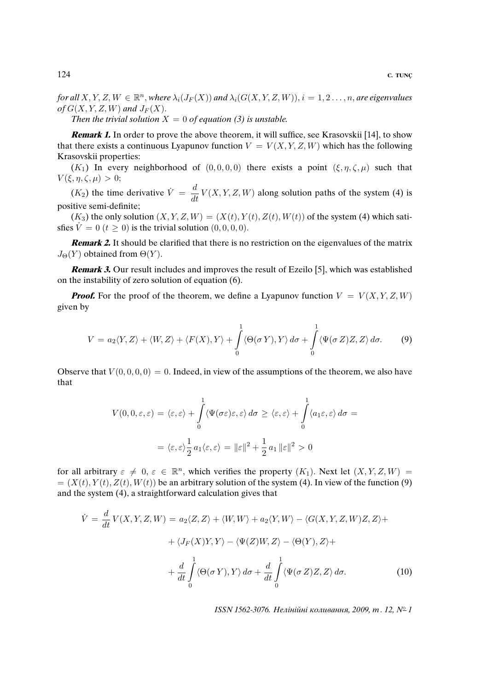for all  $X, Y, Z, W \in \mathbb{R}^n$ , where  $\lambda_i(J_F(X))$  and  $\lambda_i(G(X, Y, Z, W)), i = 1, 2, ..., n$ , are eigenvalues of  $G(X, Y, Z, W)$  and  $J_F(X)$ .

Then the trivial solution  $X = 0$  of equation (3) is unstable.

**Remark 1.** In order to prove the above theorem, it will suffice, see Krasovskii [14], to show that there exists a continuous Lyapunov function  $V = V(X, Y, Z, W)$  which has the following Krasovskii properties:

(K<sub>1</sub>) In every neighborhood of (0, 0, 0, 0) there exists a point (ξ, η, ζ, μ) such that  $V(\xi, \eta, \zeta, \mu) > 0;$ 

 $(K_2)$  the time derivative  $\dot{V} = \frac{d}{dt}$  $\frac{d}{dt}V(X, Y, Z, W)$  along solution paths of the system (4) is positive semi-definite;

 $(K_3)$  the only solution  $(X, Y, Z, W) = (X(t), Y(t), Z(t), W(t))$  of the system (4) which satisfies  $\dot{V} = 0$  ( $t \ge 0$ ) is the trivial solution (0, 0, 0, 0).

**Remark 2.** It should be clarified that there is no restriction on the eigenvalues of the matrix  $J_{\Theta}(Y)$  obtained from  $\Theta(Y)$ .

**Remark 3.** Our result includes and improves the result of Ezeilo [5], which was established on the instability of zero solution of equation (6).

**Proof.** For the proof of the theorem, we define a Lyapunov function  $V = V(X, Y, Z, W)$ given by

$$
V = a_2 \langle Y, Z \rangle + \langle W, Z \rangle + \langle F(X), Y \rangle + \int_0^1 \langle \Theta(\sigma Y), Y \rangle \, d\sigma + \int_0^1 \langle \Psi(\sigma Z) Z, Z \rangle \, d\sigma. \tag{9}
$$

Observe that  $V(0, 0, 0, 0) = 0$ . Indeed, in view of the assumptions of the theorem, we also have that

$$
V(0,0,\varepsilon,\varepsilon) = \langle \varepsilon, \varepsilon \rangle + \int_{0}^{1} \langle \Psi(\sigma \varepsilon) \varepsilon, \varepsilon \rangle d\sigma \ge \langle \varepsilon, \varepsilon \rangle + \int_{0}^{1} \langle a_1 \varepsilon, \varepsilon \rangle d\sigma =
$$
  

$$
= \langle \varepsilon, \varepsilon \rangle \frac{1}{2} a_1 \langle \varepsilon, \varepsilon \rangle = ||\varepsilon||^2 + \frac{1}{2} a_1 ||\varepsilon||^2 > 0
$$

for all arbitrary  $\varepsilon \neq 0, \varepsilon \in \mathbb{R}^n$ , which verifies the property  $(K_1)$ . Next let  $(X, Y, Z, W) =$  $= (X(t), Y(t), Z(t), W(t))$  be an arbitrary solution of the system (4). In view of the function (9) and the system (4), a straightforward calculation gives that

$$
\dot{V} = \frac{d}{dt} V(X, Y, Z, W) = a_2 \langle Z, Z \rangle + \langle W, W \rangle + a_2 \langle Y, W \rangle - \langle G(X, Y, Z, W)Z, Z \rangle +
$$

$$
+ \langle J_F(X)Y, Y \rangle - \langle \Psi(Z)W, Z \rangle - \langle \Theta(Y), Z \rangle +
$$

$$
+ \frac{d}{dt} \int_0^1 \langle \Theta(\sigma Y), Y \rangle d\sigma + \frac{d}{dt} \int_0^1 \langle \Psi(\sigma Z)Z, Z \rangle d\sigma. \tag{10}
$$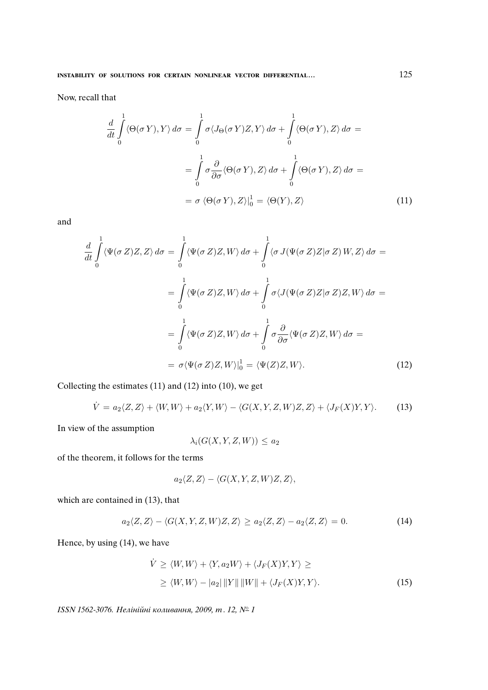Now, recall that

$$
\frac{d}{dt} \int_{0}^{1} \langle \Theta(\sigma Y), Y \rangle d\sigma = \int_{0}^{1} \sigma \langle J_{\Theta}(\sigma Y)Z, Y \rangle d\sigma + \int_{0}^{1} \langle \Theta(\sigma Y), Z \rangle d\sigma =
$$
\n
$$
= \int_{0}^{1} \sigma \frac{\partial}{\partial \sigma} \langle \Theta(\sigma Y), Z \rangle d\sigma + \int_{0}^{1} \langle \Theta(\sigma Y), Z \rangle d\sigma =
$$
\n
$$
= \sigma \langle \Theta(\sigma Y), Z \rangle|_{0}^{1} = \langle \Theta(Y), Z \rangle \tag{11}
$$

and

$$
\frac{d}{dt} \int_{0}^{1} \langle \Psi(\sigma Z)Z, Z \rangle d\sigma = \int_{0}^{1} \langle \Psi(\sigma Z)Z, W \rangle d\sigma + \int_{0}^{1} \langle \sigma J(\Psi(\sigma Z)Z | \sigma Z) W, Z \rangle d\sigma =
$$
\n
$$
= \int_{0}^{1} \langle \Psi(\sigma Z)Z, W \rangle d\sigma + \int_{0}^{1} \sigma \langle J(\Psi(\sigma Z)Z | \sigma Z)Z, W \rangle d\sigma =
$$
\n
$$
= \int_{0}^{1} \langle \Psi(\sigma Z)Z, W \rangle d\sigma + \int_{0}^{1} \sigma \frac{\partial}{\partial \sigma} \langle \Psi(\sigma Z)Z, W \rangle d\sigma =
$$
\n
$$
= \sigma \langle \Psi(\sigma Z)Z, W \rangle|_{0}^{1} = \langle \Psi(Z)Z, W \rangle.
$$
\n(12)

Collecting the estimates (11) and (12) into (10), we get

$$
\dot{V} = a_2 \langle Z, Z \rangle + \langle W, W \rangle + a_2 \langle Y, W \rangle - \langle G(X, Y, Z, W)Z, Z \rangle + \langle J_F(X)Y, Y \rangle. \tag{13}
$$

In view of the assumption

$$
\lambda_i(G(X, Y, Z, W)) \le a_2
$$

of the theorem, it follows for the terms

$$
a_2\langle Z,Z\rangle - \langle G(X,Y,Z,W)Z,Z\rangle,
$$

which are contained in (13), that

$$
a_2\langle Z,Z\rangle - \langle G(X,Y,Z,W)Z,Z\rangle \ge a_2\langle Z,Z\rangle - a_2\langle Z,Z\rangle = 0. \tag{14}
$$

Hence, by using (14), we have

$$
\dot{V} \ge \langle W, W \rangle + \langle Y, a_2 W \rangle + \langle J_F(X)Y, Y \rangle \ge
$$
  
 
$$
\ge \langle W, W \rangle - |a_2| \|Y\| \|W\| + \langle J_F(X)Y, Y \rangle.
$$
 (15)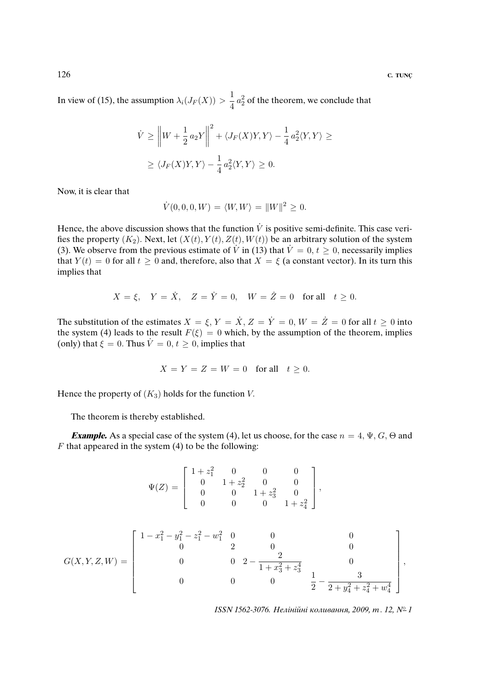In view of (15), the assumption  $\lambda_i(J_F(X)) > \frac{1}{4}$  $\frac{1}{4}a_2^2$  of the theorem, we conclude that

$$
\dot{V} \ge \left\| W + \frac{1}{2} a_2 Y \right\|^2 + \langle J_F(X)Y, Y \rangle - \frac{1}{4} a_2^2 \langle Y, Y \rangle \ge
$$
  
 
$$
\ge \langle J_F(X)Y, Y \rangle - \frac{1}{4} a_2^2 \langle Y, Y \rangle \ge 0.
$$

Now, it is clear that

$$
\dot{V}(0,0,0,W) = \langle W, W \rangle = ||W||^2 \ge 0.
$$

Hence, the above discussion shows that the function  $\dot{V}$  is positive semi-definite. This case verifies the property  $(K_2)$ . Next, let  $(X(t), Y(t), Z(t), W(t))$  be an arbitrary solution of the system (3). We observe from the previous estimate of  $\dot{V}$  in (13) that  $\dot{V} = 0, t \ge 0$ , necessarily implies that  $Y(t) = 0$  for all  $t \ge 0$  and, therefore, also that  $X = \xi$  (a constant vector). In its turn this implies that

$$
X = \xi, \quad Y = \dot{X}, \quad Z = \dot{Y} = 0, \quad W = \dot{Z} = 0 \quad \text{for all} \quad t \ge 0.
$$

The substitution of the estimates  $X = \xi$ ,  $Y = \dot{X}$ ,  $Z = \dot{Y} = 0$ ,  $W = \dot{Z} = 0$  for all  $t \ge 0$  into the system (4) leads to the result  $F(\xi) = 0$  which, by the assumption of the theorem, implies (only) that  $\xi = 0$ . Thus  $\dot{V} = 0, t \ge 0$ , implies that

$$
X = Y = Z = W = 0 \quad \text{for all} \quad t \ge 0.
$$

Hence the property of  $(K_3)$  holds for the function V.

The theorem is thereby established.

**Example.** As a special case of the system (4), let us choose, for the case  $n = 4$ ,  $\Psi$ ,  $G$ ,  $\Theta$  and  $F$  that appeared in the system (4) to be the following:

$$
\Psi(Z) = \begin{bmatrix} 1 + z_1^2 & 0 & 0 & 0 \\ 0 & 1 + z_2^2 & 0 & 0 \\ 0 & 0 & 1 + z_3^2 & 0 \\ 0 & 0 & 0 & 1 + z_4^2 \end{bmatrix},
$$

$$
G(X, Y, Z, W) = \begin{bmatrix} 1 - x_1^2 - y_1^2 - z_1^2 - w_1^2 & 0 & 0 & 0 \\ 0 & 2 & 0 & 0 & 0 \\ 0 & 0 & 2 - \frac{2}{1 + x_3^2 + z_3^4} & 0 \\ 0 & 0 & 0 & \frac{1}{2} - \frac{3}{2 + y_4^2 + z_4^2 + w_4^4} \end{bmatrix},
$$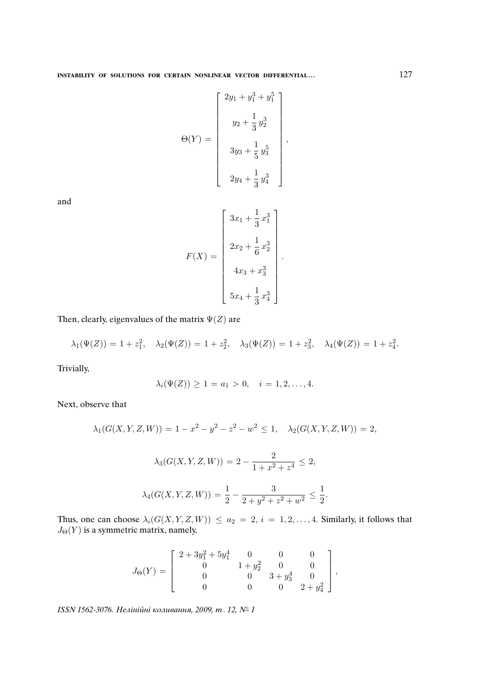$$
\Theta(Y) = \begin{bmatrix} 2y_1 + y_1^3 + y_1^5 \\ y_2 + \frac{1}{3}y_2^3 \\ 3y_3 + \frac{1}{5}y_3^5 \\ 2y_4 + \frac{1}{3}y_4^3 \end{bmatrix},
$$

and

$$
F(X) = \begin{bmatrix} 3x_1 + \frac{1}{3}x_1^3 \\ 2x_2 + \frac{1}{6}x_2^3 \\ 4x_3 + x_3^3 \\ 5x_4 + \frac{1}{3}x_4^3 \end{bmatrix}.
$$

Then, clearly, eigenvalues of the matrix  $\Psi(Z)$  are

$$
\lambda_1(\Psi(Z)) = 1 + z_1^2, \quad \lambda_2(\Psi(Z)) = 1 + z_2^2, \quad \lambda_3(\Psi(Z)) = 1 + z_3^2, \quad \lambda_4(\Psi(Z)) = 1 + z_4^2.
$$

Trivially,

$$
\lambda_i(\Psi(Z)) \ge 1 = a_1 > 0, \quad i = 1, 2, \dots, 4.
$$

Next, observe that

$$
\lambda_1(G(X, Y, Z, W)) = 1 - x^2 - y^2 - z^2 - w^2 \le 1, \quad \lambda_2(G(X, Y, Z, W)) = 2,
$$
  

$$
\lambda_3(G(X, Y, Z, W)) = 2 - \frac{2}{1 + x^2 + z^4} \le 2,
$$
  

$$
\lambda_4(G(X, Y, Z, W)) = \frac{1}{2} - \frac{3}{2 + y^2 + z^2 + w^2} \le \frac{1}{2}.
$$

Thus, one can choose  $\lambda_i(G(X, Y, Z, W)) \le a_2 = 2, i = 1, 2, \ldots, 4$ . Similarly, it follows that  $J_{\Theta}(Y)$  is a symmetric matrix, namely,

$$
J_{\Theta}(Y) = \left[\begin{array}{cccc} 2+3y_1^2+5y_1^4 & 0 & 0 & 0 \\ 0 & 1+y_2^2 & 0 & 0 \\ 0 & 0 & 3+y_3^4 & 0 \\ 0 & 0 & 0 & 2+y_4^2 \end{array}\right],
$$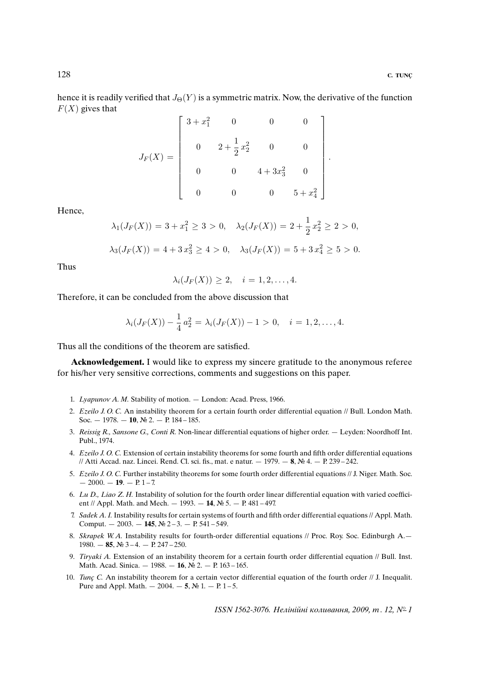.

hence it is readily verified that  $J_{\Theta}(Y)$  is a symmetric matrix. Now, the derivative of the function  $F(X)$  gives that

$$
J_F(X) = \begin{bmatrix} 3 + x_1^2 & 0 & 0 & 0 \\ & & 2 + \frac{1}{2}x_2^2 & 0 & 0 \\ & 0 & 0 & 4 + 3x_3^2 & 0 \\ & 0 & 0 & 0 & 5 + x_4^2 \end{bmatrix}
$$

Hence,

$$
\lambda_1(J_F(X)) = 3 + x_1^2 \ge 3 > 0, \quad \lambda_2(J_F(X)) = 2 + \frac{1}{2}x_2^2 \ge 2 > 0,
$$
  

$$
\lambda_3(J_F(X)) = 4 + 3x_3^2 \ge 4 > 0, \quad \lambda_3(J_F(X)) = 5 + 3x_4^2 \ge 5 > 0.
$$

Thus

$$
\lambda_i(J_F(X)) \geq 2, \quad i=1,2,\ldots,4.
$$

Therefore, it can be concluded from the above discussion that

$$
\lambda_i(J_F(X)) - \frac{1}{4}a_2^2 = \lambda_i(J_F(X)) - 1 > 0, \quad i = 1, 2, \dots, 4.
$$

Thus all the conditions of the theorem are satisfied.

**Acknowledgement.** I would like to express my sincere gratitude to the anonymous referee for his/her very sensitive corrections, comments and suggestions on this paper.

- 1. Lyapunov A. M. Stability of motion. London: Acad. Press, 1966.
- 2. Ezeilo J. O. C. An instability theorem for a certain fourth order differential equation // Bull. London Math. Soc. — 1978. — **10**, № 2. — P. 184 – 185.
- 3. Reissig R., Sansone G., Conti R. Non-linear differential equations of higher order. Leyden: Noordhoff Int. Publ., 1974.
- 4. Ezeilo J. O. C. Extension of certain instability theorems for some fourth and fifth order differential equations // Atti Accad. naz. Lincei. Rend. Cl. sci. fis., mat. e natur. — 1979. — **8**, № 4. — P. 239 – 242.
- 5. Ezeilo J. O. C. Further instability theorems for some fourth order differential equations // J. Niger. Math. Soc.  $-2000. -19. -19. -17.$
- 6. Lu D., Liao Z. H. Instability of solution for the fourth order linear differential equation with varied coefficient // Appl. Math. and Mech. — 1993. — **14**, № 5. — P. 481 – 497.
- 7. Sadek A. I. Instability results for certain systems of fourth and fifth order differential equations // Appl. Math. Comput. — 2003. — **145**, № 2 – 3. — P. 541 – 549.
- 8. Skrapek W.A. Instability results for fourth-order differential equations // Proc. Roy. Soc. Edinburgh A. 1980. — **85**, № 3 – 4. — P. 247 – 250.
- 9. Tiryaki A. Extension of an instability theorem for a certain fourth order differential equation // Bull. Inst. Math. Acad. Sinica. — 1988. — **16**, № 2. — P. 163 – 165.
- 10. Tunc<sub>c</sub> C. An instability theorem for a certain vector differential equation of the fourth order // J. Inequalit. Pure and Appl. Math.  $- 2004. - 5$ , № 1.  $- P. 1 - 5$ .